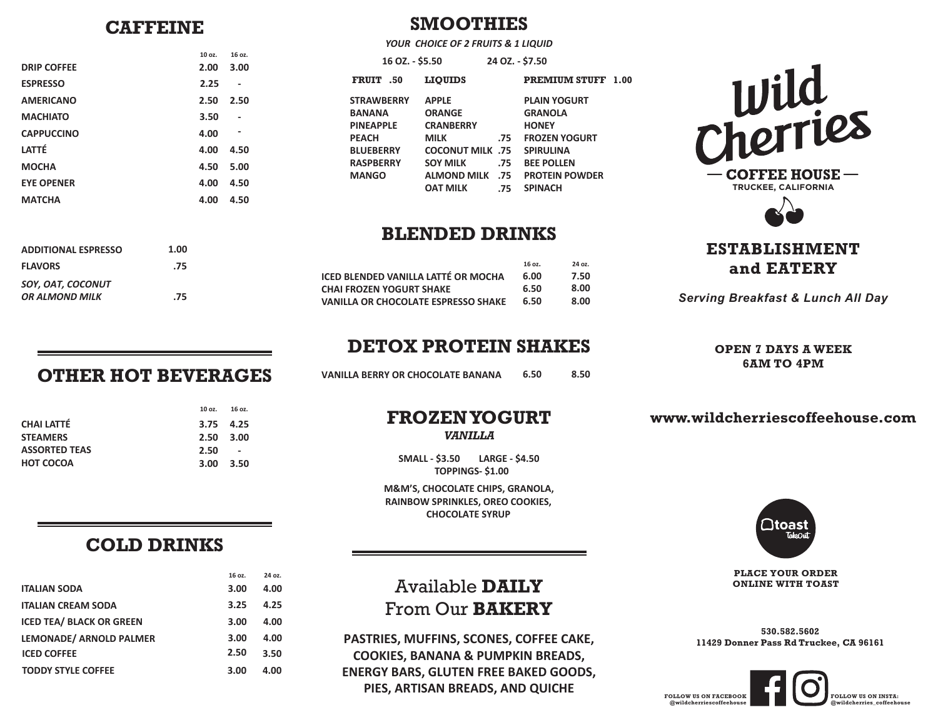### **CAFFEINE**

| <b>DRIP COFFEE</b> | 10 oz.<br>2.00 | 16 oz.<br>3.00 |
|--------------------|----------------|----------------|
| <b>ESPRESSO</b>    | 2.25           |                |
| <b>AMERICANO</b>   | 2.50           | 2.50           |
| <b>MACHIATO</b>    | 3.50           |                |
| <b>CAPPUCCINO</b>  | 4.00           | ٠              |
| LATTÉ              | 4.00           | 4.50           |
| <b>MOCHA</b>       | 4.50           | 5.00           |
| <b>EYE OPENER</b>  | 4.00           | 4.50           |
| <b>MATCHA</b>      | 4.00           | 4.50           |
|                    |                |                |

|                   | YOUR CHOICE OF 2 FRUITS & 1 LIQUID |                 |                           |  |
|-------------------|------------------------------------|-----------------|---------------------------|--|
| 16 OZ. - \$5.50   |                                    | 24 OZ. - \$7.50 |                           |  |
| FRUIT .50         | <b>LIOUIDS</b>                     |                 | <b>PREMIUM STUFF 1.00</b> |  |
| <b>STRAWBERRY</b> | <b>APPLE</b>                       |                 | <b>PLAIN YOGURT</b>       |  |
| <b>BANANA</b>     | <b>ORANGE</b>                      |                 | <b>GRANOLA</b>            |  |
| <b>PINEAPPLE</b>  | <b>CRANBERRY</b>                   |                 | <b>HONEY</b>              |  |
| <b>PEACH</b>      | <b>MILK</b>                        | .75             | <b>FROZEN YOGURT</b>      |  |
| <b>BLUEBERRY</b>  | <b>COCONUT MILK .75</b>            |                 | <b>SPIRULINA</b>          |  |
| <b>RASPBERRY</b>  | <b>SOY MILK</b>                    | .75             | <b>BEE POLLEN</b>         |  |
| <b>MANGO</b>      | <b>ALMOND MILK</b> .75             |                 | <b>PROTEIN POWDER</b>     |  |
|                   | <b>OAT MILK</b>                    | .75             | <b>SPINACH</b>            |  |
|                   |                                    |                 |                           |  |

### **BLENDED DRINKS**

|                                     | 16 oz. | 24 oz. |
|-------------------------------------|--------|--------|
| ICED BLENDED VANILLA LATTÉ OR MOCHA | 6.00   | 7.50   |
| CHAI FROZEN YOGURT SHAKE            | 6.50   | 8.00   |
| VANILLA OR CHOCOLATE ESPRESSO SHAKE | 6.50   | 8.00   |

### **DETOX PROTEIN SHAKES**

**VANILLA BERRY OR CHOCOLATE BANANA 6.50 8.50**

# **FROZENYOGURT**

*VANILLA*

**SMALL - \$3.50 LARGE - \$4.50 TOPPINGS- \$1.00**

**M&M'S, CHOCOLATE CHIPS, GRANOLA, RAINBOW SPRINKLES, OREO COOKIES, CHOCOLATE SYRUP**

Available **DAILY** From Our **BAKERY**

**PASTRIES, MUFFINS, SCONES, COFFEE CAKE, COOKIES, BANANA & PUMPKIN BREADS, ENERGY BARS, GLUTEN FREE BAKED GOODS, PIES, ARTISAN BREADS, AND QUICHE**



**ESTABLISHMENT and EATERY**

*Serving Breakfast & Lunch All Day*

### **OPEN 7 DAYS A WEEK 6AM TO 4PM**

**www.wildcherriescoffeehouse.com**



**PLACE YOUR ORDER ONLINE WITH TOAST**

**530.582.5602 11429 Donner Pass Rd Truckee, CA 96161**



## **OTHER HOT BEVERAGES**

**1.00 .75**

 **.75**

|                      | 10 oz.            | 16 oz.                   |
|----------------------|-------------------|--------------------------|
| CHAI LATTÉ           | 3.75 4.25         |                          |
| <b>STEAMERS</b>      | $2.50 \quad 3.00$ |                          |
| <b>ASSORTED TEAS</b> | 2.50              | $\overline{\phantom{a}}$ |
| HOT COCOA            | $3.00 \quad 3.50$ |                          |

*SOY, OAT, COCONUT OR ALMOND MILK* 

**FLAVORS**

**ADDITIONAL ESPRESSO**

### **COLD DRINKS**

|                                 | 16 oz. | 24 oz. |
|---------------------------------|--------|--------|
| <b>ITALIAN SODA</b>             | 3.00   | 4.00   |
| <b>ITALIAN CREAM SODA</b>       | 3.25   | 4.25   |
| <b>ICED TEA/ BLACK OR GREEN</b> | 3.00   | 4.00   |
| LEMONADE/ ARNOLD PALMER         | 3.00   | 4.00   |
| <b>ICED COFFEE</b>              | 2.50   | 3.50   |
| <b>TODDY STYLE COFFEE</b>       | 3.00   | 4.00   |